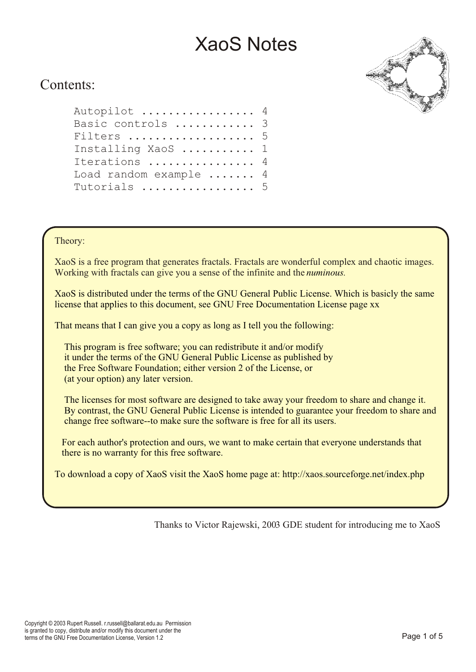

## Contents:

| Autopilot  4                   |  |
|--------------------------------|--|
| Basic controls  3              |  |
| Filters  5                     |  |
| Installing XaoS  1             |  |
| Iterations  4                  |  |
| Load random example $\ldots$ 4 |  |
| Tutorials  5                   |  |

#### Theory:

XaoS is a free program that generates fractals. Fractals are wonderful complex and chaotic images. Working with fractals can give you a sense of the infinite and the *numinous.*

XaoS is distributed under the terms of the GNU General Public License. Which is basicly the same license that applies to this document, see GNU Free Documentation License page xx

That means that I can give you a copy as long as I tell you the following:

 This program is free software; you can redistribute it and/or modify it under the terms of the GNU General Public License as published by the Free Software Foundation; either version 2 of the License, or (at your option) any later version.

 The licenses for most software are designed to take away your freedom to share and change it. By contrast, the GNU General Public License is intended to guarantee your freedom to share and change free software--to make sure the software is free for all its users.

 For each author's protection and ours, we want to make certain that everyone understands that there is no warranty for this free software.

To download a copy of XaoS visit the XaoS home page at: http://xaos.sourceforge.net/index.php

Thanks to Victor Rajewski, 2003 GDE student for introducing me to XaoS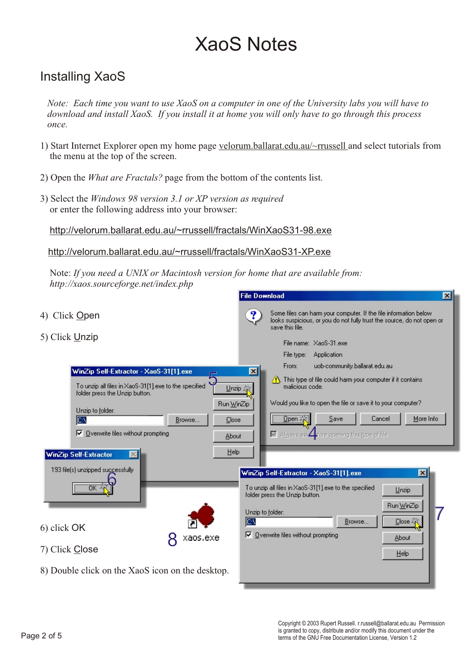## Installing XaoS

 *Note: Each time you want to use XaoS on a computer in one of the University labs you will have to download and install XaoS. If you install it at home you will only have to go through this process once.*

- 1) Start Internet Explorer open my home page velorum.ballarat.edu.au/~rrussell and select tutorials from the menu at the top of the screen.
- 2) Open the *What are Fractals?* page from the bottom of the contents list.
- 3) Select the *Windows 98 version 3.1 or XP version as required* or enter the following address into your browser:

http://velorum.ballarat.edu.au/~rrussell/fractals/WinXaoS31-98.exe

http://velorum.ballarat.edu.au/~rrussell/fractals/WinXaoS31-XP.exe

 Note: *If you need a UNIX or Macintosh version for home that are available from: http://xaos.sourceforge.net/index.php*

| 4) Click Open                                                                                                                                                                                                                                                           | Some files can harm your computer. If the file information below<br>?<br>looks suspicious, or you do not fully trust the source, do not open or<br>save this file.                                                                                                                                                                                                                        |
|-------------------------------------------------------------------------------------------------------------------------------------------------------------------------------------------------------------------------------------------------------------------------|-------------------------------------------------------------------------------------------------------------------------------------------------------------------------------------------------------------------------------------------------------------------------------------------------------------------------------------------------------------------------------------------|
| 5) Click Unzip                                                                                                                                                                                                                                                          | File name: XaoS-31.exe                                                                                                                                                                                                                                                                                                                                                                    |
| WinZip Self-Extractor - XaoS-31[1].exe<br>To unzip all files in XaoS-31[1], exe to the specified<br>Unzip ※<br>folder press the Unzip button.<br>Run WinZip<br>Unzip to folder:<br><b>ICV</b><br>Browse<br>Close<br>$\nabla$ Overwrite files without prompting<br>About | File type:<br>Application<br>uob-community.ballarat.edu.au<br>From:<br>$\vert x \vert$<br>This type of file could harm your computer if it contains<br>malicious code.<br>Would you like to open the file or save it to your computer?<br>Qpen<br>Save<br>Cancel<br>More Info<br>$\blacksquare$ Always ask $\blacktriangle$ fore opening this type of file                                |
| Help<br><b>WinZip Self-Extractor</b><br>$\mathbb{R}$<br>193 file(s) unzipped successfully<br>Πŀ<br>6) click OK<br>xaos.exe<br>7) Click Close<br>8) Double click on the XaoS icon on the desktop.                                                                        | WinZip Self-Extractor - XaoS-31[1].exe<br>$\overline{\mathbf{x}}$<br>To unzip all files in XaoS-31[1], exe to the specified<br>Unzip<br>folder press the Unzip button.<br>Run WinZip<br>Unzip to folder:<br><b>ICV</b><br>Browse<br>$\mathsf{Close}$ $\stackrel{\scriptscriptstyle\mathsf{S}}{\scriptscriptstyle\mathsf{G}}$<br>$\nabla$ Overwrite files without prompting<br>About<br>He |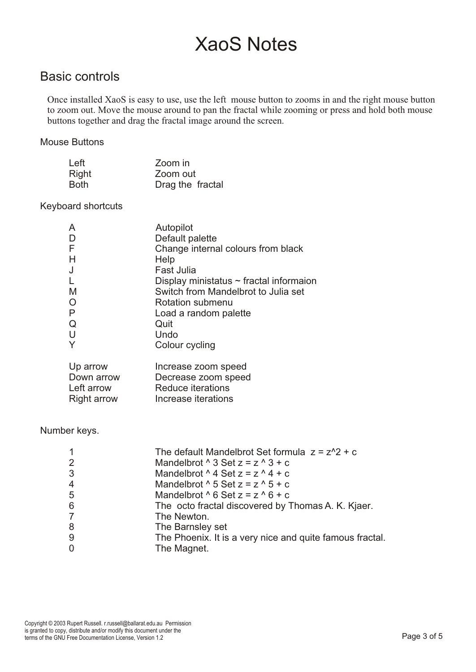### Basic controls

 Once installed XaoS is easy to use, use the left mouse button to zooms in and the right mouse button to zoom out. Move the mouse around to pan the fractal while zooming or press and hold both mouse buttons together and drag the fractal image around the screen.

#### Mouse Buttons

| Left  | Zoom in          |
|-------|------------------|
| Right | Zoom out         |
| Both  | Drag the fractal |

#### Keyboard shortcuts

| A                  | Autopilot                                    |
|--------------------|----------------------------------------------|
| D                  | Default palette                              |
| F                  | Change internal colours from black           |
| H                  | Help                                         |
| J                  | Fast Julia                                   |
| L                  | Display ministatus $\sim$ fractal informaion |
| M                  | Switch from Mandelbrot to Julia set          |
| $\circ$            | Rotation submenu                             |
| P                  | Load a random palette                        |
| Q                  | Quit                                         |
| U                  | Undo                                         |
| Y                  | Colour cycling                               |
| Up arrow           | Increase zoom speed                          |
| Down arrow         | Decrease zoom speed                          |
| Left arrow         | <b>Reduce iterations</b>                     |
| <b>Right arrow</b> | Increase iterations                          |

#### Number keys.

|                | The default Mandelbrot Set formula $z = z^2 + c$         |
|----------------|----------------------------------------------------------|
| 2              | Mandelbrot $\wedge$ 3 Set $z = z \wedge 3 + c$           |
| 3              | Mandelbrot $\wedge$ 4 Set $z = z \wedge 4 + c$           |
| $\overline{4}$ | Mandelbrot $\wedge$ 5 Set $z = z \wedge 5 + c$           |
| 5              | Mandelbrot $\wedge$ 6 Set $z = z \wedge 6 + c$           |
| 6              | The octo fractal discovered by Thomas A. K. Kjaer.       |
| $\overline{7}$ | The Newton.                                              |
| 8              | The Barnsley set                                         |
| 9              | The Phoenix. It is a very nice and quite famous fractal. |
| $\overline{0}$ | The Magnet.                                              |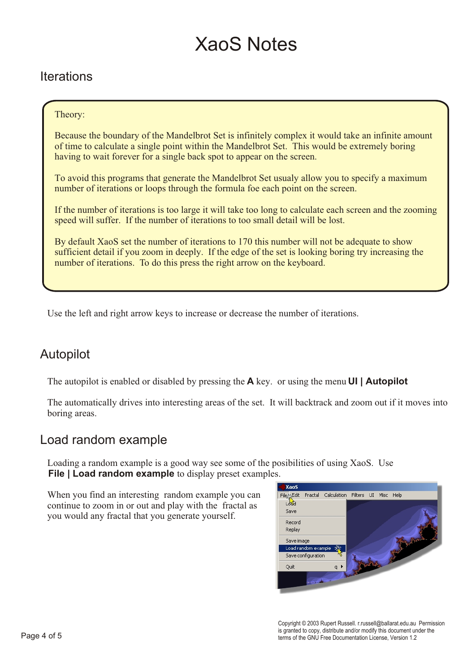## Iterations

#### Theory:

Because the boundary of the Mandelbrot Set is infinitely complex it would take an infinite amount of time to calculate a single point within the Mandelbrot Set. This would be extremely boring having to wait forever for a single back spot to appear on the screen.

To avoid this programs that generate the Mandelbrot Set usualy allow you to specify a maximum number of iterations or loops through the formula foe each point on the screen.

If the number of iterations is too large it will take too long to calculate each screen and the zooming speed will suffer. If the number of iterations to too small detail will be lost.

By default XaoS set the number of iterations to 170 this number will not be adequate to show sufficient detail if you zoom in deeply. If the edge of the set is looking boring try increasing the number of iterations. To do this press the right arrow on the keyboard.

Use the left and right arrow keys to increase or decrease the number of iterations.

### Autopilot

The autopilot is enabled or disabled by pressing the **A** key. or using the menu **UI | Autopilot**

 The automatically drives into interesting areas of the set. It will backtrack and zoom out if it moves into boring areas.

### Load random example

 Loading a random example is a good way see some of the posibilities of using XaoS. Use **File | Load random example** to display preset examples.

When you find an interesting random example you can continue to zoom in or out and play with the fractal as you would any fractal that you generate yourself.



Copyright © 2003 Rupert Russell. r.russell@ballarat.edu.au Permission is granted to copy, distribute and/or modify this document under the terms of the GNU Free Documentation License, Version 1.2